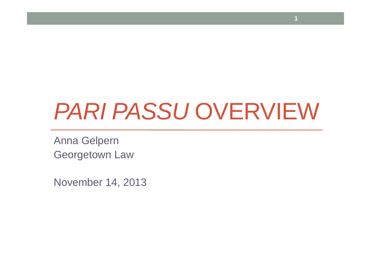# PARI PASSU OVERVIEW

Anna GelpernGeorgetown Law

November 14, 2013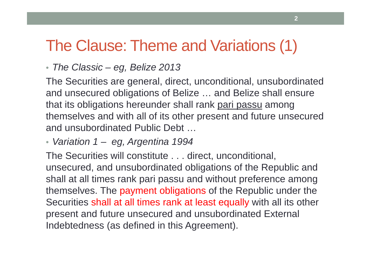### The Clause: Theme and Variations (1)

• The Classic – eg, Belize 2013

The Securities are general, direct, unconditional, unsubordinated and unsecured obligations of Belize … and Belize shall ensure that its obligations hereunder shall rank <u>pari passu</u> among themselves and with all of its other present and future unsecured and unsubordinated Public Debt …

• Variation 1 – eg, Argentina 1994

The Securities will constitute . . . direct, unconditional, unsecured, and unsubordinated obligations of the Republic and shall at all times rank pari passu and without preference among themselves. The payment obligations of the Republic under the Securities shall at all times rank at least equally with all its other present and future unsecured and unsubordinated External Indebtedness (as defined in this Agreement).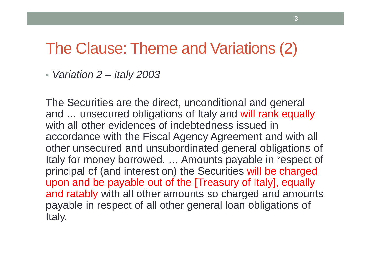#### The Clause: Theme and Variations (2)

• Variation 2 – Italy 2003

The Securities are the direct, unconditional and general and ... unsecured obligations of Italy and will rank equally with all other evidences of indebtedness issued in accordance with the Fiscal Agency Agreement and with all other unsecured and unsubordinated general obligations of Italy for money borrowed. … Amounts payable in respect of principal of (and interest on) the Securities will be charged upon and be payable out of the [Treasury of Italy], equally and ratably with all other amounts so charged and amounts payable in respect of all other general loan obligations of Italy.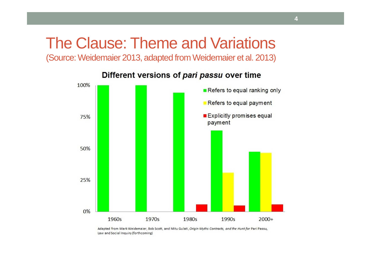## The Clause: Theme and Variations

(Source: Weidemaier 2013, adapted from Weidemaier et al. 2013)



Different versions of pari passu over time

Adapted from Mark Weidemaier, Bob Scott, and Mitu Gulati, Origin Myths Contracts, and the Hunt for Pari Passu, Law and Social Inquiry (forthcoming)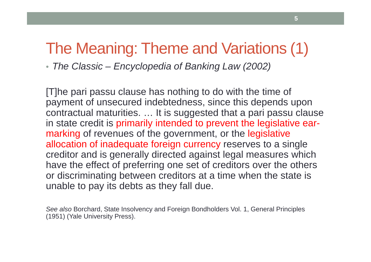### The Meaning: Theme and Variations (1)

• The Classic – Encyclopedia of Banking Law (2002)

[T]he pari passu clause has nothing to do with the time of payment of unsecured indebtedness, since this depends upon contractual maturities. … It is suggested that a pari passu clause in state credit is primarily intended to prevent the legislative earmarking of revenues of the government, or the legislative allocation of inadequate foreign currency reserves to a single creditor and is generally directed against legal measures which have the effect of preferring one set of creditors over the others or discriminating between creditors at a time when the state is unable to pay its debts as they fall due.

See also Borchard, State Insolvency and Foreign Bondholders Vol. 1, General Principles (1951) (Yale University Press).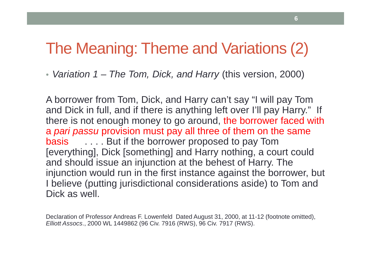### The Meaning: Theme and Variations (2)

• Variation 1 – The Tom, Dick, and Harry (this version, 2000)

A borrower from Tom, Dick, and Harry can't say "I will pay Tom and Dick in full, and if there is anything left over I'll pay Harry." If there is not enough money to go around, the borrower faced with a *pari passu* provision must pay all three of them on the same basis.... But if the borrower proposed to pay Tom [everything], Dick [something] and Harry nothing, a court could and should issue an injunction at the behest of Harry. The injunction would run in the first instance against the borrower, but I believe (putting jurisdictional considerations aside) to Tom and Dick as well.

Declaration of Professor Andreas F. Lowenfeld Dated August 31, 2000, at 11-12 (footnote omitted), Elliott Assocs., 2000 WL 1449862 (96 Civ. 7916 (RWS), 96 Civ. 7917 (RWS).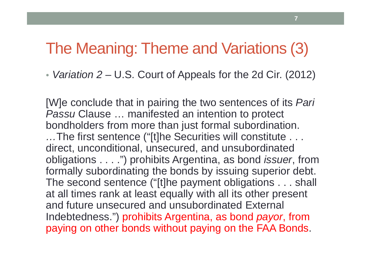#### The Meaning: Theme and Variations (3)

• Variation 2 – U.S. Court of Appeals for the 2d Cir. (2012)

[W]e conclude that in pairing the two sentences of its *Pari* Passu Clause ... manifested an intention to protect bondholders from more than just formal subordination. …The first sentence ("[t]he Securities will constitute . . . direct, unconditional, unsecured, and unsubordinated obligations . . . .") prohibits Argentina, as bond *issuer*, from formally subordinating the bonds by issuing superior debt. The second sentence ("[t]he payment obligations . . . shall at all times rank at least equally with all its other present and future unsecured and unsubordinated External Indebtedness.") prohibits Argentina, as bond *payor*, from paying on other bonds without paying on the FAA Bonds.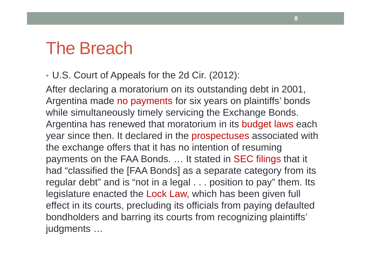## The Breach

• U.S. Court of Appeals for the 2d Cir. (2012):

After declaring a moratorium on its outstanding debt in 2001, Argentina made no payments for six years on plaintiffs' bonds while simultaneously timely servicing the Exchange Bonds. Argentina has renewed that moratorium in its budget laws each year since then. It declared in the prospectuses associated with the exchange offers that it has no intention of resuming payments on the FAA Bonds. … It stated in SEC filings that it had "classified the [FAA Bonds] as a separate category from its regular debt" and is "not in a legal . . . position to pay" them. Its legislature enacted the Lock Law, which has been given full effect in its courts, precluding its officials from paying defaulted bondholders and barring its courts from recognizing plaintiffs' judgments …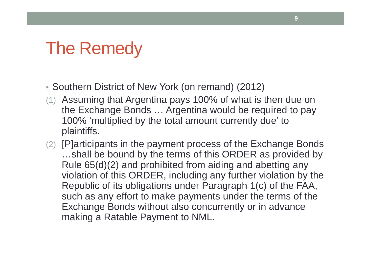# The Remedy

- Southern District of New York (on remand) (2012)
- (1) Assuming that Argentina pays 100% of what is then due on the Exchange Bonds … Argentina would be required to pay 100% 'multiplied by the total amount currently due' to plaintiffs.
- (2) [P]articipants in the payment process of the Exchange Bonds …shall be bound by the terms of this ORDER as provided by Rule 65(d)(2) and prohibited from aiding and abetting any violation of this ORDER, including any further violation by the Republic of its obligations under Paragraph 1(c) of the FAA, such as any effort to make payments under the terms of the Exchange Bonds without also concurrently or in advance making a Ratable Payment to NML.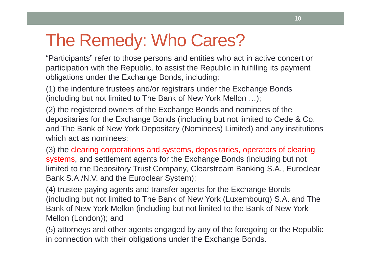# The Remedy: Who Cares?

"Participants" refer to those persons and entities who act in active concert or participation with the Republic, to assist the Republic in fulfilling its payment obligations under the Exchange Bonds, including:

(1) the indenture trustees and/or registrars under the Exchange Bonds (including but not limited to The Bank of New York Mellon …);

(2) the registered owners of the Exchange Bonds and nominees of the depositaries for the Exchange Bonds (including but not limited to Cede & Co. and The Bank of New York Depositary (Nominees) Limited) and any institutions which act as nominees;

(3) the clearing corporations and systems, depositaries, operators of clearing systems, and settlement agents for the Exchange Bonds (including but not limited to the Depository Trust Company, Clearstream Banking S.A., EuroclearBank S.A./N.V. and the Euroclear System);

(4) trustee paying agents and transfer agents for the Exchange Bonds (including but not limited to The Bank of New York (Luxembourg) S.A. and The Bank of New York Mellon (including but not limited to the Bank of New York Mellon (London)); and

(5) attorneys and other agents engaged by any of the foregoing or the Republic in connection with their obligations under the Exchange Bonds.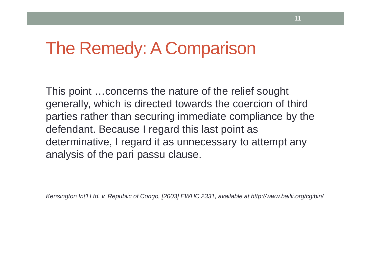## The Remedy: A Comparison

This point …concerns the nature of the relief sought generally, which is directed towards the coercion of third parties rather than securing immediate compliance by the defendant. Because I regard this last point as determinative, I regard it as unnecessary to attempt any analysis of the pari passu clause.

Kensington Int'l Ltd. v. Republic of Congo, [2003] EWHC 2331, available at http://www.bailii.org/cgibin/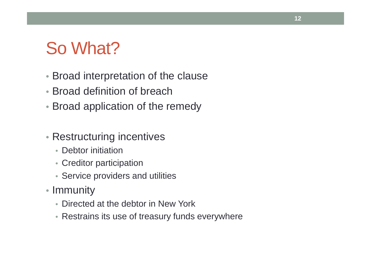# So What?

- Broad interpretation of the clause
- Broad definition of breach
- Broad application of the remedy
- Restructuring incentives
	- Debtor initiation
	- Creditor participation
	- Service providers and utilities
- Immunity
	- Directed at the debtor in New York
	- Restrains its use of treasury funds everywhere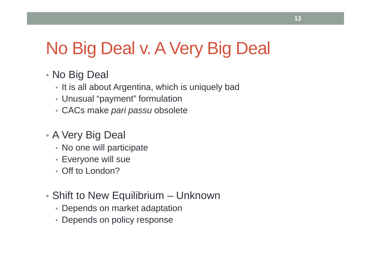# No Big Deal v. A Very Big Deal

#### • No Big Deal

- It is all about Argentina, which is uniquely bad
- Unusual "payment" formulation
- CACs make pari passu obsolete
- A Very Big Deal
	- No one will participate
	- Everyone will sue
	- Off to London?
- Shift to New Equilibrium Unknown
	- Depends on market adaptation
	- Depends on policy response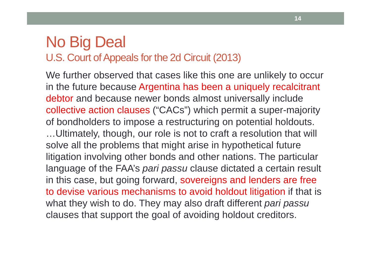#### No Big DealU.S. Court of Appeals for the 2d Circuit (2013)

We further observed that cases like this one are unlikely to occur in the future because Argentina has been a uniquely recalcitrant debtor and because newer bonds almost universally include collective action clauses ("CACs") which permit a super-majority of bondholders to impose a restructuring on potential holdouts. …Ultimately, though, our role is not to craft a resolution that will solve all the problems that might arise in hypothetical future litigation involving other bonds and other nations. The particular language of the FAA's *pari passu* clause dictated a certain result in this case, but going forward, sovereigns and lenders are free to devise various mechanisms to avoid holdout litigation if that is what they wish to do. They may also draft different *pari passu* clauses that support the goal of avoiding holdout creditors.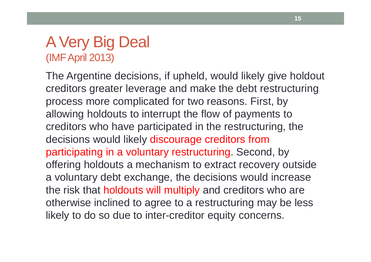#### A Very Big Deal(IMF April 2013)

The Argentine decisions, if upheld, would likely give holdout creditors greater leverage and make the debt restructuring process more complicated for two reasons. First, by allowing holdouts to interrupt the flow of payments to creditors who have participated in the restructuring, thedecisions would likely discourage creditors from participating in a voluntary restructuring. Second, by offering holdouts a mechanism to extract recovery outside a voluntary debt exchange, the decisions would increase the risk that holdouts will multiply and creditors who are otherwise inclined to agree to a restructuring may be less likely to do so due to inter-creditor equity concerns.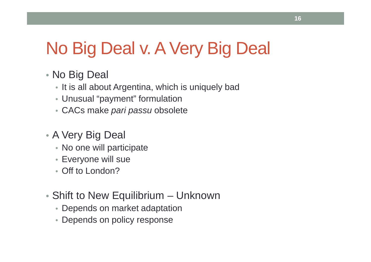# No Big Deal v. A Very Big Deal

#### • No Big Deal

- It is all about Argentina, which is uniquely bad
- Unusual "payment" formulation
- CACs make pari passu obsolete
- A Very Big Deal
	- No one will participate
	- Everyone will sue
	- Off to London?
- Shift to New Equilibrium Unknown
	- Depends on market adaptation
	- Depends on policy response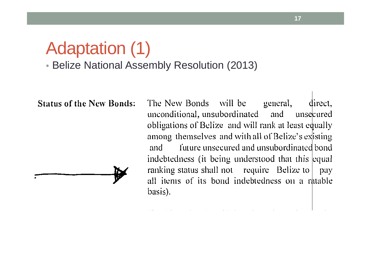#### Adaptation (1)• Belize National Assembly Resolution (2013)

**Status of the New Bonds:** 

The New Bonds will be general, direct. unconditional, unsubordinated and unsecured obligations of Belize and will rank at least equally among themselves and with all of Belize's existing future unsecured and unsubordinated bond and indebtedness (it being understood that this equal ranking status shall not require Belize to Day all items of its bond indebtedness on a ratable basis).

**17**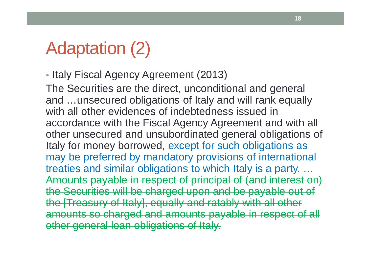# Adaptation (2)

• Italy Fiscal Agency Agreement (2013)

The Securities are the direct, unconditional and general and …unsecured obligations of Italy and will rank equally with all other evidences of indebtedness issued in accordance with the Fiscal Agency Agreement and with all other unsecured and unsubordinated general obligations of Italy for money borrowed, except for such obligations as may be preferred by mandatory provisions of internationaltreaties and similar obligations to which Italy is a party. … Amounts payable in respect of principal of (and interest on) the Securities will be charged upon and be payable out of the [Treasury of Italy], equally and ratably with all other amounts so charged and amounts payable in respect of all other general loan obligations of Italy.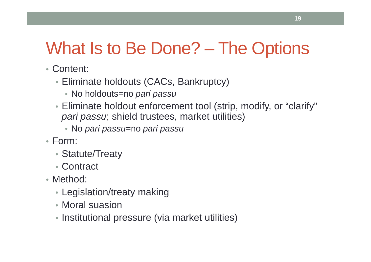# What Is to Be Done? – The Options

- Content:
	- Eliminate holdouts (CACs, Bankruptcy)
		- ∙ No holdouts=no *pari passu*
	- Eliminate holdout enforcement tool (strip, modify, or "clarify" pari passu; shield trustees, market utilities)
		- No pari passu=no pari passu
- Form:
	- Statute/Treaty
	- Contract
- Method:
	- Legislation/treaty making
	- Moral suasion
	- Institutional pressure (via market utilities)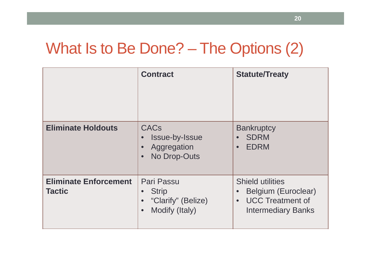## What Is to Be Done? – The Options (2)

|                                        | <b>Contract</b>                                                                              | <b>Statute/Treaty</b>                                                                                               |
|----------------------------------------|----------------------------------------------------------------------------------------------|---------------------------------------------------------------------------------------------------------------------|
| <b>Eliminate Holdouts</b>              | <b>CACs</b><br>Issue-by-Issue<br>$\bullet$<br>Aggregation<br>No Drop-Outs<br>$\bullet$       | <b>Bankruptcy</b><br><b>SDRM</b><br><b>EDRM</b><br>$\bullet$                                                        |
| <b>Eliminate Enforcement</b><br>Tactic | Pari Passu<br><b>Strip</b><br>"Clarify" (Belize)<br>$\bullet$<br>Modify (Italy)<br>$\bullet$ | <b>Shield utilities</b><br>Belgium (Euroclear)<br><b>UCC Treatment of</b><br>$\bullet$<br><b>Intermediary Banks</b> |